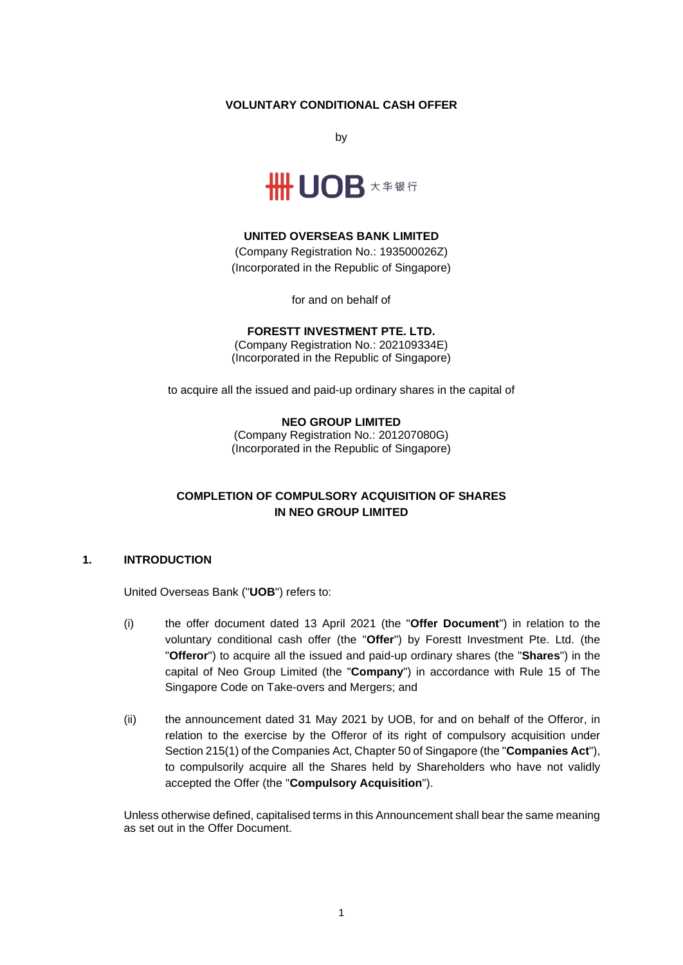## **VOLUNTARY CONDITIONAL CASH OFFER**

by



## **UNITED OVERSEAS BANK LIMITED**

(Company Registration No.: 193500026Z) (Incorporated in the Republic of Singapore)

for and on behalf of

# **FORESTT INVESTMENT PTE. LTD.**

(Company Registration No.: 202109334E) (Incorporated in the Republic of Singapore)

to acquire all the issued and paid-up ordinary shares in the capital of

#### **NEO GROUP LIMITED**

(Company Registration No.: 201207080G) (Incorporated in the Republic of Singapore)

# **COMPLETION OF COMPULSORY ACQUISITION OF SHARES IN NEO GROUP LIMITED**

#### **1. INTRODUCTION**

United Overseas Bank ("**UOB**") refers to:

- (i) the offer document dated 13 April 2021 (the "**Offer Document**") in relation to the voluntary conditional cash offer (the "**Offer**") by Forestt Investment Pte. Ltd. (the "**Offeror**") to acquire all the issued and paid-up ordinary shares (the "**Shares**") in the capital of Neo Group Limited (the "**Company**") in accordance with Rule 15 of The Singapore Code on Take-overs and Mergers; and
- (ii) the announcement dated 31 May 2021 by UOB, for and on behalf of the Offeror, in relation to the exercise by the Offeror of its right of compulsory acquisition under Section 215(1) of the Companies Act, Chapter 50 of Singapore (the "**Companies Act**"), to compulsorily acquire all the Shares held by Shareholders who have not validly accepted the Offer (the "**Compulsory Acquisition**").

Unless otherwise defined, capitalised terms in this Announcement shall bear the same meaning as set out in the Offer Document.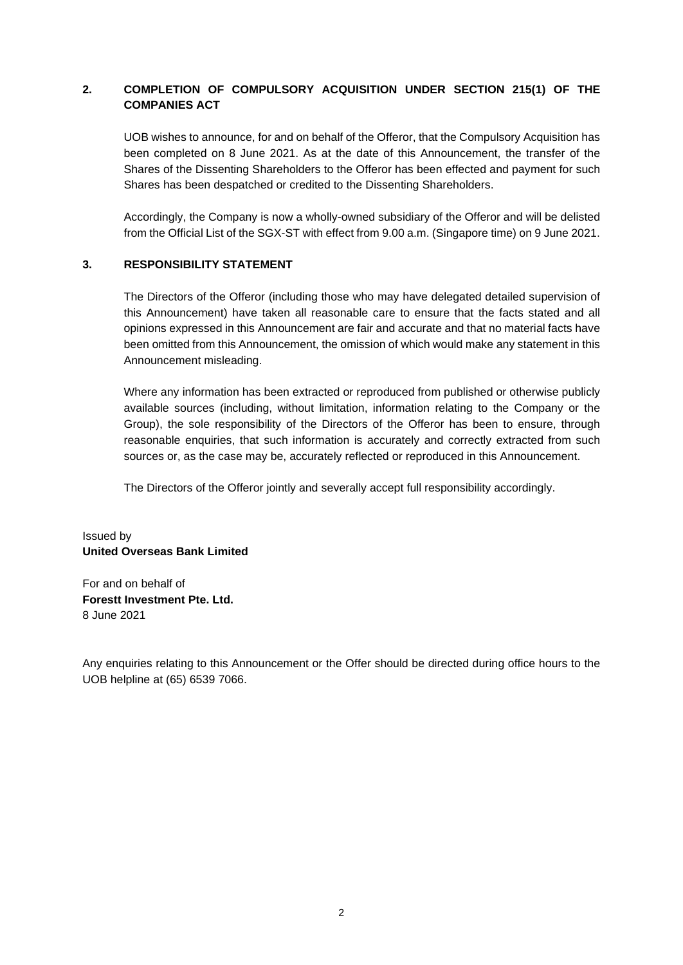# **2. COMPLETION OF COMPULSORY ACQUISITION UNDER SECTION 215(1) OF THE COMPANIES ACT**

UOB wishes to announce, for and on behalf of the Offeror, that the Compulsory Acquisition has been completed on 8 June 2021. As at the date of this Announcement, the transfer of the Shares of the Dissenting Shareholders to the Offeror has been effected and payment for such Shares has been despatched or credited to the Dissenting Shareholders.

Accordingly, the Company is now a wholly-owned subsidiary of the Offeror and will be delisted from the Official List of the SGX-ST with effect from 9.00 a.m. (Singapore time) on 9 June 2021.

## **3. RESPONSIBILITY STATEMENT**

The Directors of the Offeror (including those who may have delegated detailed supervision of this Announcement) have taken all reasonable care to ensure that the facts stated and all opinions expressed in this Announcement are fair and accurate and that no material facts have been omitted from this Announcement, the omission of which would make any statement in this Announcement misleading.

Where any information has been extracted or reproduced from published or otherwise publicly available sources (including, without limitation, information relating to the Company or the Group), the sole responsibility of the Directors of the Offeror has been to ensure, through reasonable enquiries, that such information is accurately and correctly extracted from such sources or, as the case may be, accurately reflected or reproduced in this Announcement.

The Directors of the Offeror jointly and severally accept full responsibility accordingly.

## Issued by **United Overseas Bank Limited**

For and on behalf of **Forestt Investment Pte. Ltd.**  8 June 2021

Any enquiries relating to this Announcement or the Offer should be directed during office hours to the UOB helpline at (65) 6539 7066.